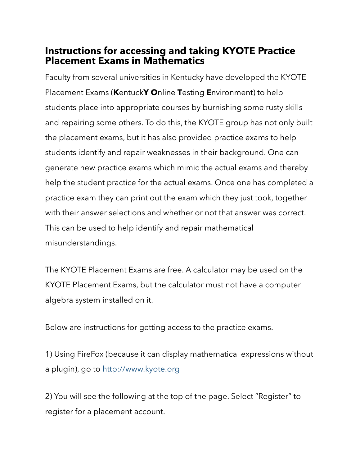# **Instructions for accessing and taking KYOTE Practice Placement Exams in Mathematics**

Faculty from several universities in Kentucky have developed the KYOTE Placement Exams (**K**entuck**Y O**nline **T**esting **E**nvironment) to help students place into appropriate courses by burnishing some rusty skills and repairing some others. To do this, the KYOTE group has not only built the placement exams, but it has also provided practice exams to help students identify and repair weaknesses in their background. One can generate new practice exams which mimic the actual exams and thereby help the student practice for the actual exams. Once one has completed a practice exam they can print out the exam which they just took, together with their answer selections and whether or not that answer was correct. This can be used to help identify and repair mathematical misunderstandings.

The KYOTE Placement Exams are free. A calculator may be used on the KYOTE Placement Exams, but the calculator must not have a computer algebra system installed on it.

Below are instructions for getting access to the practice exams.

1) Using FireFox (because it can display mathematical expressions without a plugin), go to [http://www.kyote.org](http://www.kyote.org/)

2) You will see the following at the top of the page. Select "Register" to register for a placement account.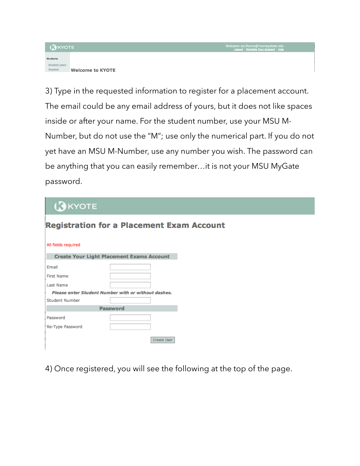### **B**KYOTE



3) Type in the requested information to register for a placement account. The email could be any email address of yours, but it does not like spaces inside or after your name. For the student number, use your MSU M-Number, but do not use the "M"; use only the numerical part. If you do not yet have an MSU M-Number, use any number you wish. The password can be anything that you can easily remember…it is not your MSU MyGate password.

# **AKYOTE**

| All fields required |                                                     |  |  |  |  |  |  |
|---------------------|-----------------------------------------------------|--|--|--|--|--|--|
|                     | <b>Create Your Light Placement Exams Account</b>    |  |  |  |  |  |  |
| Email               |                                                     |  |  |  |  |  |  |
| <b>First Name</b>   |                                                     |  |  |  |  |  |  |
| Last Name           |                                                     |  |  |  |  |  |  |
|                     | Please enter Student Number with or without dashes. |  |  |  |  |  |  |
| Student Number      |                                                     |  |  |  |  |  |  |
| <b>Password</b>     |                                                     |  |  |  |  |  |  |
| Password            |                                                     |  |  |  |  |  |  |
| Re-Type Password    |                                                     |  |  |  |  |  |  |
|                     | Create User                                         |  |  |  |  |  |  |

**Registration for a Placement Exam Account** 

4) Once registered, you will see the following at the top of the page.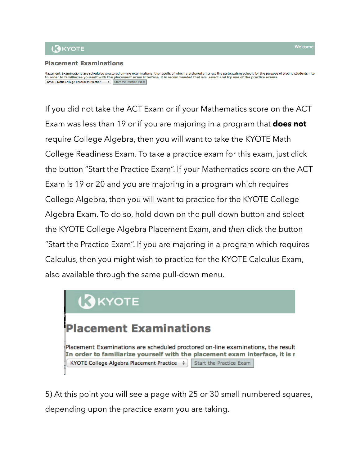## **AKYOTE**

## **Placement Examinations**

Placement Examinations are scheduled proctored on-line examinations, the results of which are shared amongst the participating schools for the purpose of placing students into In order to familiarize yourself with the placement exam interface, it is recommended that you select and try one of the practice exams. KYOTE Math College Readiness Practice  $\Rightarrow$  Start the Practice Exam

If you did not take the ACT Exam or if your Mathematics score on the ACT Exam was less than 19 or if you are majoring in a program that **does not** require College Algebra, then you will want to take the KYOTE Math College Readiness Exam. To take a practice exam for this exam, just click the button "Start the Practice Exam". If your Mathematics score on the ACT Exam is 19 or 20 and you are majoring in a program which requires College Algebra, then you will want to practice for the KYOTE College Algebra Exam. To do so, hold down on the pull-down button and select the KYOTE College Algebra Placement Exam, and *then* click the button "Start the Practice Exam". If you are majoring in a program which requires Calculus, then you might wish to practice for the KYOTE Calculus Exam, also available through the same pull-down menu.



5) At this point you will see a page with 25 or 30 small numbered squares, depending upon the practice exam you are taking.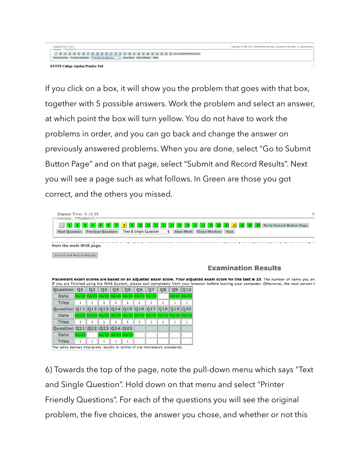#### 1 2 3 4 5 6 7 8 9 10 11 12 14 14 14 14 14 14 20 21 22 24 24 60 to Submit Button Page Text & Single Question : Save Work Clo

**KYOTE College Algebra Practice Test** 

If you click on a box, it will show you the problem that goes with that box, together with 5 possible answers. Work the problem and select an answer, at which point the box will turn yellow. You do not have to work the problems in order, and you can go back and change the answer on previously answered problems. When you are done, select "Go to Submit Button Page" and on that page, select "Submit and Record Results". Next you will see a page such as what follows. In Green are those you got correct, and the others you missed.

| <b>Elapsed Time: 0:15:55</b><br>$\Gamma$ (version: 775160477) $\cdot$<br>25 Go to Submit Button Page<br> 22 <br><b>Text &amp; Single Question</b><br><b>Next Question</b> Previous Question<br>Save Work Close Window Help<br>٠                                                      |                                     |    |    |    |                            |    |       |    |                                                             |       |                            |  |  |
|--------------------------------------------------------------------------------------------------------------------------------------------------------------------------------------------------------------------------------------------------------------------------------------|-------------------------------------|----|----|----|----------------------------|----|-------|----|-------------------------------------------------------------|-------|----------------------------|--|--|
| from the main WHS page.                                                                                                                                                                                                                                                              |                                     |    |    |    |                            |    |       |    |                                                             |       |                            |  |  |
| <b>Submit and Record Results</b>                                                                                                                                                                                                                                                     |                                     |    |    |    |                            |    |       |    |                                                             |       |                            |  |  |
|                                                                                                                                                                                                                                                                                      |                                     |    |    |    |                            |    |       |    |                                                             |       | <b>Examination Results</b> |  |  |
| Placement exam scores are based on an adjusted exam score. Your adjusted exam score for this test is 23. The number of items you an<br>If you are finished using the WHS System, please exit completely from your browser before leaving your computer. Otherwise, the next person t |                                     |    |    |    |                            |    |       |    |                                                             |       |                            |  |  |
| <b>Ouestion</b>                                                                                                                                                                                                                                                                      | O <sub>1</sub>                      | 02 | 03 | 04 | 05                         | 06 |       | 08 | Q9                                                          | 010   |                            |  |  |
| <b>Date</b>                                                                                                                                                                                                                                                                          | 06/25 06/25 06/25 06/25 06/25 06/25 |    |    |    |                            |    | 06/25 |    | 06/25                                                       | 06/25 |                            |  |  |
| <b>Tries</b>                                                                                                                                                                                                                                                                         | 1                                   |    | 1  |    | 1                          | 1  |       | 1  |                                                             | 1     |                            |  |  |
| Question Q11                                                                                                                                                                                                                                                                         |                                     |    |    |    | 12 Q13 Q14 Q15 Q16 Q17 Q18 |    |       |    | O19 I                                                       | 020   |                            |  |  |
| <b>Date</b>                                                                                                                                                                                                                                                                          |                                     |    |    |    |                            |    |       |    | 06/25 06/25 06/25 06/25 06/25 06/25 06/25 06/25 06/25 06/25 |       |                            |  |  |
| <b>Tries</b>                                                                                                                                                                                                                                                                         | 1                                   |    | м  |    | 1                          | 1  |       | 1  | 1                                                           | 1     |                            |  |  |
| Question Q21 Q22 Q23 Q24 Q25                                                                                                                                                                                                                                                         |                                     |    |    |    |                            |    |       |    |                                                             |       |                            |  |  |
| <b>Date</b>                                                                                                                                                                                                                                                                          | 06/25                               |    |    |    | 06/25 06/25 06/25          |    |       |    |                                                             |       |                            |  |  |
| <b>Tries</b>                                                                                                                                                                                                                                                                         |                                     |    |    |    |                            |    |       |    |                                                             |       |                            |  |  |

The table belows interprets results in terms of the homework standards.

6) Towards the top of the page, note the pull-down menu which says "Text and Single Question". Hold down on that menu and select "Printer Friendly Questions". For each of the questions you will see the original problem, the five choices, the answer you chose, and whether or not this